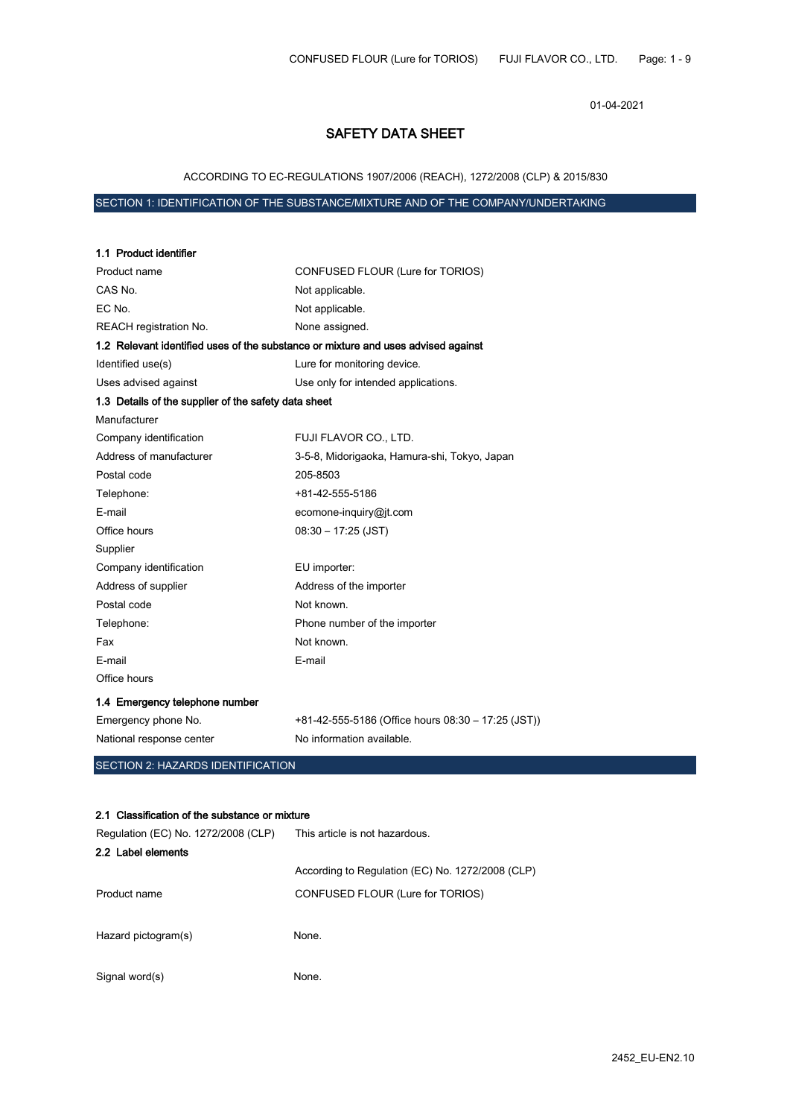01-04-2021

# SAFETY DATA SHEET

# ACCORDING TO EC-REGULATIONS 1907/2006 (REACH), 1272/2008 (CLP) & 2015/830

# SECTION 1: IDENTIFICATION OF THE SUBSTANCE/MIXTURE AND OF THE COMPANY/UNDERTAKING

| 1.1 Product identifier                                                            |                                                    |
|-----------------------------------------------------------------------------------|----------------------------------------------------|
| Product name                                                                      | CONFUSED FLOUR (Lure for TORIOS)                   |
| CAS No.                                                                           | Not applicable.                                    |
| EC No.                                                                            | Not applicable.                                    |
| REACH registration No.                                                            | None assigned.                                     |
| 1.2 Relevant identified uses of the substance or mixture and uses advised against |                                                    |
| Identified use(s)                                                                 | Lure for monitoring device.                        |
| Uses advised against                                                              | Use only for intended applications.                |
| 1.3 Details of the supplier of the safety data sheet                              |                                                    |
| Manufacturer                                                                      |                                                    |
| Company identification                                                            | FUJI FLAVOR CO., LTD.                              |
| Address of manufacturer                                                           | 3-5-8, Midorigaoka, Hamura-shi, Tokyo, Japan       |
| Postal code                                                                       | 205-8503                                           |
| Telephone:                                                                        | +81-42-555-5186                                    |
| E-mail                                                                            | ecomone-inquiry@jt.com                             |
| Office hours                                                                      | $08:30 - 17:25$ (JST)                              |
| Supplier                                                                          |                                                    |
| Company identification                                                            | EU importer:                                       |
| Address of supplier                                                               | Address of the importer                            |
| Postal code                                                                       | Not known.                                         |
| Telephone:                                                                        | Phone number of the importer                       |
| Fax                                                                               | Not known.                                         |
| E-mail                                                                            | E-mail                                             |
| Office hours                                                                      |                                                    |
| 1.4 Emergency telephone number                                                    |                                                    |
| Emergency phone No.                                                               | +81-42-555-5186 (Office hours 08:30 - 17:25 (JST)) |
| National response center                                                          | No information available.                          |
| <b>SECTION 2: HAZARDS IDENTIFICATION</b>                                          |                                                    |
|                                                                                   |                                                    |

#### 2.1 Classification of the substance or mixture

| Regulation (EC) No. 1272/2008 (CLP) | This article is not hazardous.                   |
|-------------------------------------|--------------------------------------------------|
| 2.2 Label elements                  |                                                  |
|                                     | According to Regulation (EC) No. 1272/2008 (CLP) |
| Product name                        | CONFUSED FLOUR (Lure for TORIOS)                 |
| Hazard pictogram(s)                 | None.                                            |
| Signal word(s)                      | None.                                            |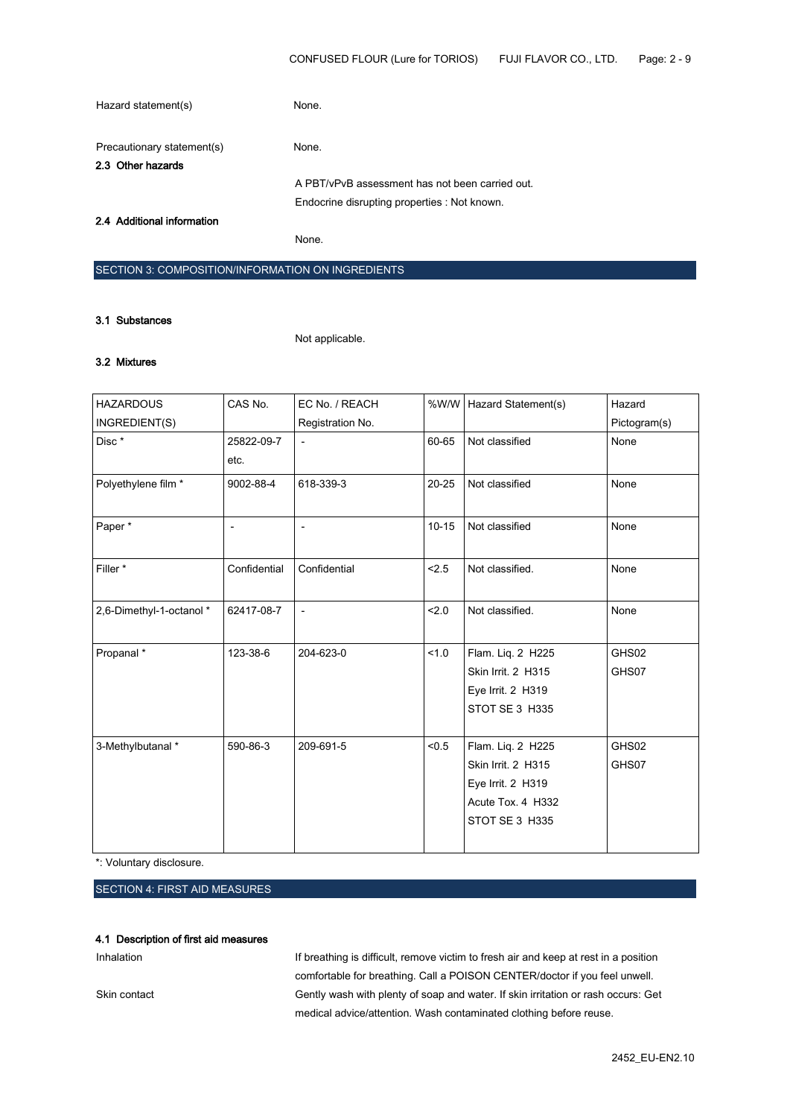| Hazard statement(s)                             | None.                                           |
|-------------------------------------------------|-------------------------------------------------|
| Precautionary statement(s)<br>2.3 Other hazards | None.                                           |
|                                                 | A PBT/vPvB assessment has not been carried out. |
|                                                 | Endocrine disrupting properties : Not known.    |
| 2.4 Additional information                      |                                                 |
|                                                 | None.                                           |

#### SECTION 3: COMPOSITION/INFORMATION ON INGREDIENTS

#### 3.1 Substances

Not applicable.

### 3.2 Mixtures

| <b>HAZARDOUS</b>         | CAS No.      | EC No. / REACH   |           | %W/W   Hazard Statement(s) | Hazard       |
|--------------------------|--------------|------------------|-----------|----------------------------|--------------|
| INGREDIENT(S)            |              | Registration No. |           |                            | Pictogram(s) |
| Disc*                    | 25822-09-7   |                  | 60-65     | Not classified             | None         |
|                          | etc.         |                  |           |                            |              |
| Polyethylene film *      | 9002-88-4    | 618-339-3        | $20 - 25$ | Not classified             | None         |
| Paper*                   |              |                  | $10 - 15$ | Not classified             | None         |
| Filler*                  | Confidential | Confidential     | < 2.5     | Not classified.            | None         |
| 2,6-Dimethyl-1-octanol * | 62417-08-7   | $\blacksquare$   | 2.0       | Not classified.            | None         |
| Propanal*                | 123-38-6     | 204-623-0        | 1.0       | Flam. Liq. 2 H225          | GHS02        |
|                          |              |                  |           | Skin Irrit. 2 H315         | GHS07        |
|                          |              |                  |           | Eye Irrit. 2 H319          |              |
|                          |              |                  |           | STOT SE 3 H335             |              |
| 3-Methylbutanal *        | 590-86-3     | 209-691-5        | < 0.5     | Flam. Liq. 2 H225          | GHS02        |
|                          |              |                  |           | Skin Irrit. 2 H315         | GHS07        |
|                          |              |                  |           | Eye Irrit. 2 H319          |              |
|                          |              |                  |           | Acute Tox. 4 H332          |              |
|                          |              |                  |           | STOT SE 3 H335             |              |
|                          |              |                  |           |                            |              |

\*: Voluntary disclosure.

# SECTION 4: FIRST AID MEASURES

#### 4.1 Description of first aid measures

Inhalation Inhalation If breathing is difficult, remove victim to fresh air and keep at rest in a position comfortable for breathing. Call a POISON CENTER/doctor if you feel unwell. Skin contact Gently wash with plenty of soap and water. If skin irritation or rash occurs: Get medical advice/attention. Wash contaminated clothing before reuse.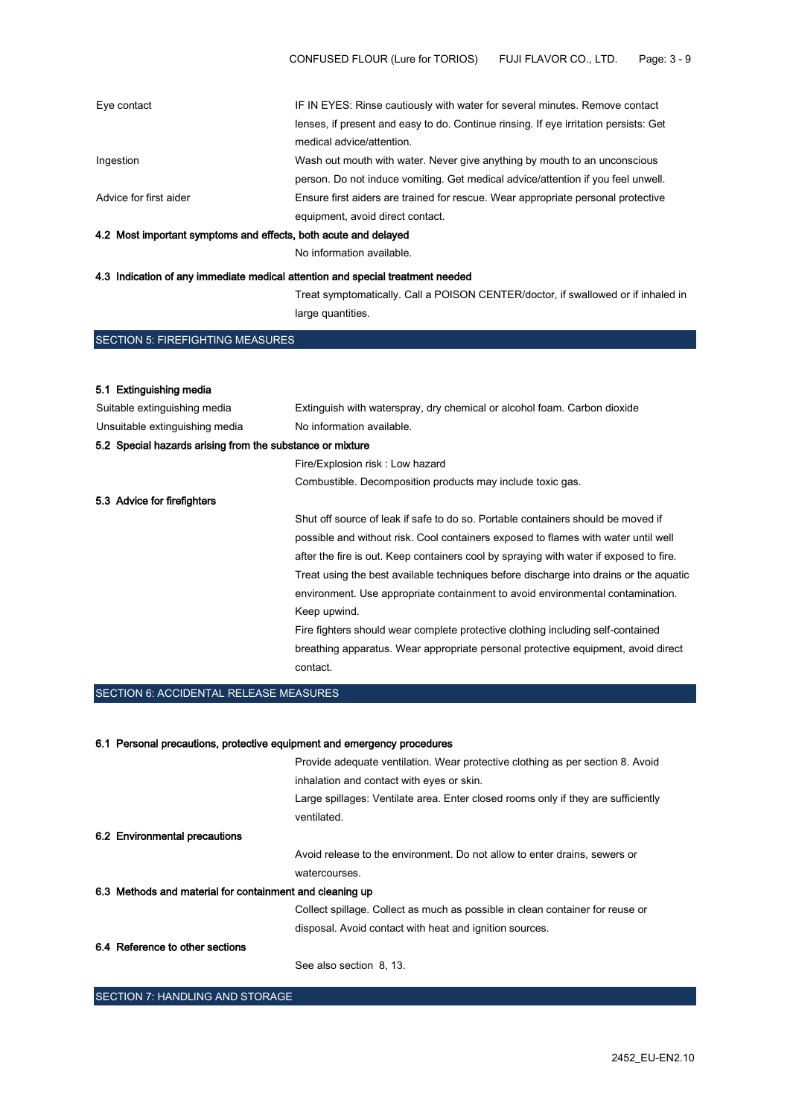| 4.0. Maatikaan sitaat oli maatama anal officiate. Katholica on tule labarad |                                                                                      |
|-----------------------------------------------------------------------------|--------------------------------------------------------------------------------------|
|                                                                             | equipment, avoid direct contact.                                                     |
| Advice for first aider                                                      | Ensure first aiders are trained for rescue. Wear appropriate personal protective     |
|                                                                             | person. Do not induce vomiting. Get medical advice/attention if you feel unwell.     |
| Ingestion                                                                   | Wash out mouth with water. Never give anything by mouth to an unconscious            |
|                                                                             | medical advice/attention.                                                            |
|                                                                             | lenses, if present and easy to do. Continue rinsing. If eye irritation persists: Get |
| Eye contact                                                                 | IF IN EYES: Rinse cautiously with water for several minutes. Remove contact          |

### 4.2 Most important symptoms and effects, both acute and delayed

No information available.

#### 4.3 Indication of any immediate medical attention and special treatment needed

Treat symptomatically. Call a POISON CENTER/doctor, if swallowed or if inhaled in large quantities.

SECTION 5: FIREFIGHTING MEASURES

#### 5.1 Extinguishing media

| Suitable extinguishing media                              | Extinguish with waterspray, dry chemical or alcohol foam. Carbon dioxide               |
|-----------------------------------------------------------|----------------------------------------------------------------------------------------|
| Unsuitable extinguishing media                            | No information available.                                                              |
| 5.2 Special hazards arising from the substance or mixture |                                                                                        |
|                                                           | Fire/Explosion risk: Low hazard                                                        |
|                                                           | Combustible. Decomposition products may include toxic gas.                             |
| 5.3 Advice for firefighters                               |                                                                                        |
|                                                           | Shut off source of leak if safe to do so. Portable containers should be moved if       |
|                                                           | possible and without risk. Cool containers exposed to flames with water until well     |
|                                                           | after the fire is out. Keep containers cool by spraying with water if exposed to fire. |
|                                                           | Treat using the best available techniques before discharge into drains or the aquatic  |
|                                                           | environment. Use appropriate containment to avoid environmental contamination.         |
|                                                           | Keep upwind.                                                                           |
|                                                           | Fire fighters should wear complete protective clothing including self-contained        |
|                                                           | breathing apparatus. Wear appropriate personal protective equipment, avoid direct      |
|                                                           | contact.                                                                               |

# SECTION 6: ACCIDENTAL RELEASE MEASURES

#### 6.1 Personal precautions, protective equipment and emergency procedures

|                                                          | Provide adequate ventilation. Wear protective clothing as per section 8. Avoid    |
|----------------------------------------------------------|-----------------------------------------------------------------------------------|
|                                                          | inhalation and contact with eyes or skin.                                         |
|                                                          | Large spillages: Ventilate area. Enter closed rooms only if they are sufficiently |
|                                                          | ventilated.                                                                       |
| 6.2 Environmental precautions                            |                                                                                   |
|                                                          | Avoid release to the environment. Do not allow to enter drains, sewers or         |
|                                                          | watercourses.                                                                     |
| 6.3 Methods and material for containment and cleaning up |                                                                                   |
|                                                          | Collect spillage. Collect as much as possible in clean container for reuse or     |
|                                                          | disposal. Avoid contact with heat and ignition sources.                           |
| 6.4 Reference to other sections                          |                                                                                   |
|                                                          | See also section 8, 13.                                                           |

SECTION 7: HANDLING AND STORAGE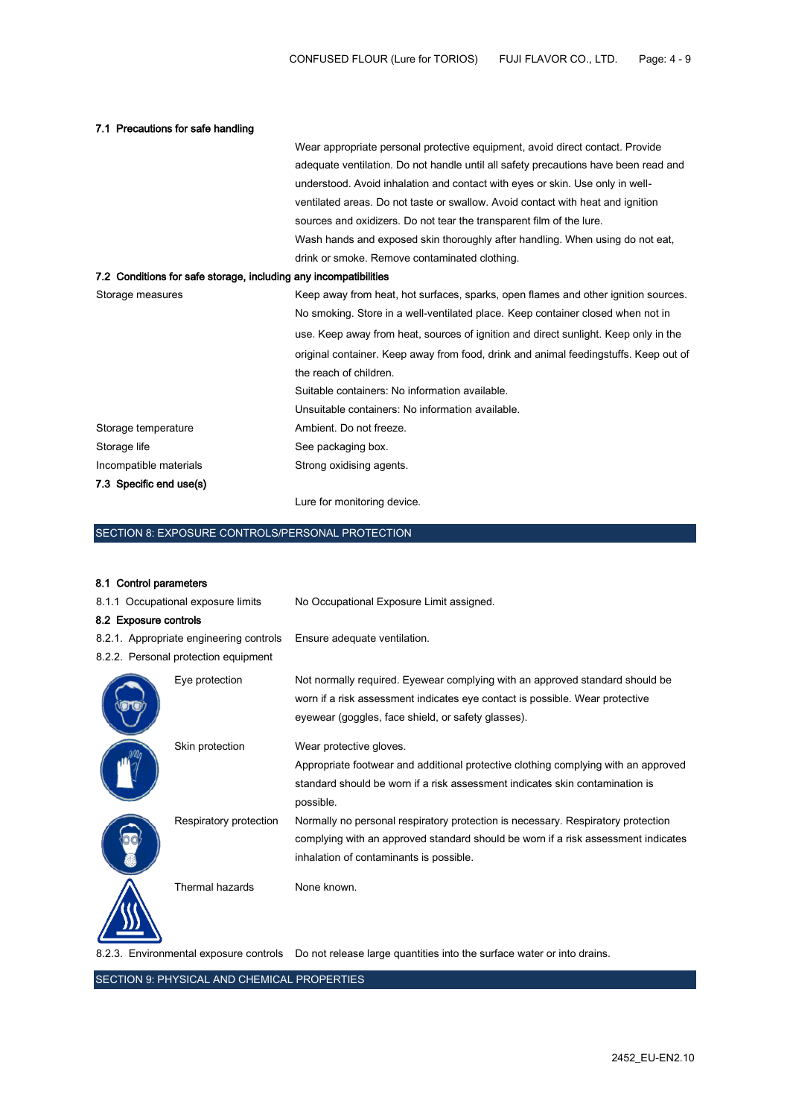| 7.1 Precautions for safe handling                                |                                                                                      |
|------------------------------------------------------------------|--------------------------------------------------------------------------------------|
|                                                                  | Wear appropriate personal protective equipment, avoid direct contact. Provide        |
|                                                                  | adequate ventilation. Do not handle until all safety precautions have been read and  |
|                                                                  | understood. Avoid inhalation and contact with eyes or skin. Use only in well-        |
|                                                                  | ventilated areas. Do not taste or swallow. Avoid contact with heat and ignition      |
|                                                                  | sources and oxidizers. Do not tear the transparent film of the lure.                 |
|                                                                  | Wash hands and exposed skin thoroughly after handling. When using do not eat,        |
|                                                                  | drink or smoke. Remove contaminated clothing.                                        |
| 7.2 Conditions for safe storage, including any incompatibilities |                                                                                      |
| Storage measures                                                 | Keep away from heat, hot surfaces, sparks, open flames and other ignition sources.   |
|                                                                  | No smoking. Store in a well-ventilated place. Keep container closed when not in      |
|                                                                  | use. Keep away from heat, sources of ignition and direct sunlight. Keep only in the  |
|                                                                  | original container. Keep away from food, drink and animal feedingstuffs. Keep out of |
|                                                                  | the reach of children.                                                               |
|                                                                  | Suitable containers: No information available.                                       |
|                                                                  | Unsuitable containers: No information available.                                     |
| Storage temperature                                              | Ambient. Do not freeze.                                                              |
| Storage life                                                     | See packaging box.                                                                   |
| Incompatible materials                                           | Strong oxidising agents.                                                             |
| 7.3 Specific end use(s)                                          |                                                                                      |

Lure for monitoring device.

# SECTION 8: EXPOSURE CONTROLS/PERSONAL PROTECTION

# 8.1 Control parameters

| 8.1.1 Occupational exposure limits                                              |                        | No Occupational Exposure Limit assigned.                                                                                                                                                                           |
|---------------------------------------------------------------------------------|------------------------|--------------------------------------------------------------------------------------------------------------------------------------------------------------------------------------------------------------------|
| 8.2 Exposure controls                                                           |                        |                                                                                                                                                                                                                    |
| 8.2.1. Appropriate engineering controls<br>8.2.2. Personal protection equipment |                        | Ensure adequate ventilation.                                                                                                                                                                                       |
|                                                                                 | Eye protection         | Not normally required. Eyewear complying with an approved standard should be<br>worn if a risk assessment indicates eye contact is possible. Wear protective<br>eyewear (goggles, face shield, or safety glasses). |
|                                                                                 | Skin protection        | Wear protective gloves.<br>Appropriate footwear and additional protective clothing complying with an approved<br>standard should be worn if a risk assessment indicates skin contamination is<br>possible.         |
|                                                                                 | Respiratory protection | Normally no personal respiratory protection is necessary. Respiratory protection<br>complying with an approved standard should be worn if a risk assessment indicates<br>inhalation of contaminants is possible.   |
|                                                                                 | Thermal hazards        | None known.                                                                                                                                                                                                        |

8.2.3. Environmental exposure controls Do not release large quantities into the surface water or into drains.

SECTION 9: PHYSICAL AND CHEMICAL PROPERTIES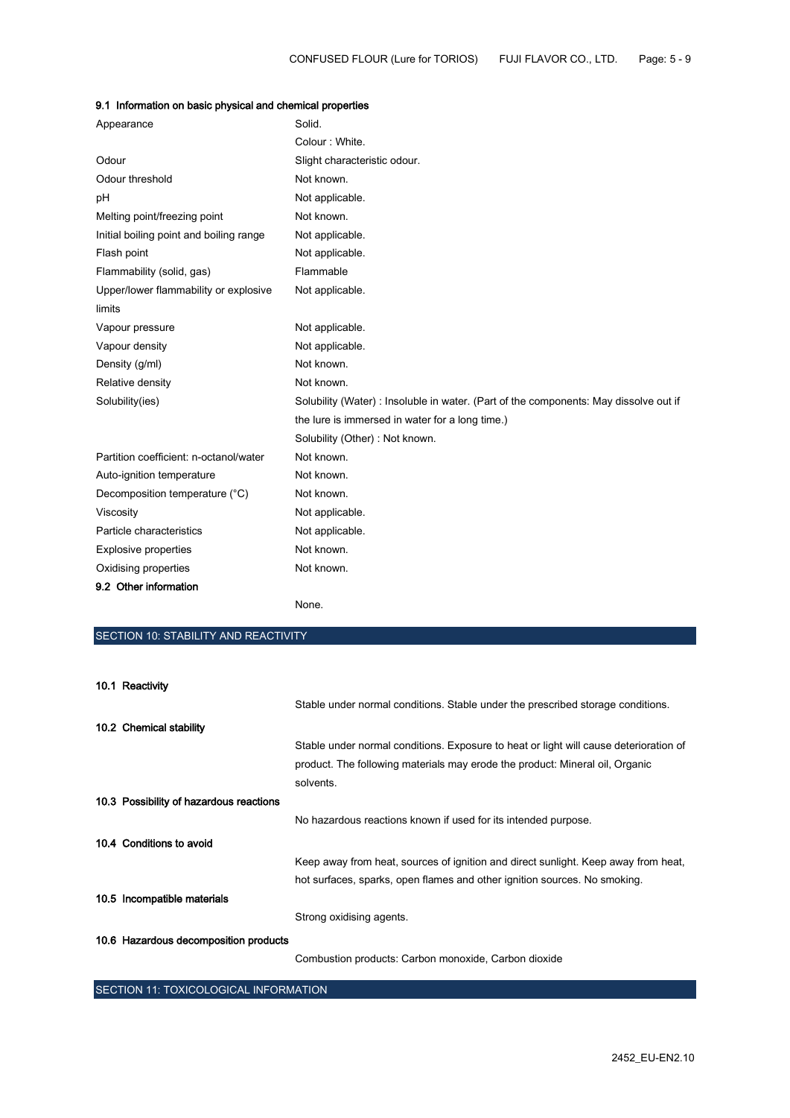| Appearance                              | Solid.                                                                                |
|-----------------------------------------|---------------------------------------------------------------------------------------|
|                                         | Colour: White.                                                                        |
| Odour                                   | Slight characteristic odour.                                                          |
| Odour threshold                         | Not known.                                                                            |
| pH                                      | Not applicable.                                                                       |
| Melting point/freezing point            | Not known.                                                                            |
| Initial boiling point and boiling range | Not applicable.                                                                       |
| Flash point                             | Not applicable.                                                                       |
| Flammability (solid, gas)               | Flammable                                                                             |
| Upper/lower flammability or explosive   | Not applicable.                                                                       |
| limits                                  |                                                                                       |
| Vapour pressure                         | Not applicable.                                                                       |
| Vapour density                          | Not applicable.                                                                       |
| Density (g/ml)                          | Not known.                                                                            |
| Relative density                        | Not known.                                                                            |
| Solubility(ies)                         | Solubility (Water) : Insoluble in water. (Part of the components: May dissolve out if |
|                                         | the lure is immersed in water for a long time.)                                       |
|                                         | Solubility (Other): Not known.                                                        |
| Partition coefficient: n-octanol/water  | Not known.                                                                            |
| Auto-ignition temperature               | Not known.                                                                            |
| Decomposition temperature (°C)          | Not known.                                                                            |
| Viscosity                               | Not applicable.                                                                       |
| Particle characteristics                | Not applicable.                                                                       |
| Explosive properties                    | Not known.                                                                            |
| Oxidising properties                    | Not known.                                                                            |
| 9.2 Other information                   |                                                                                       |
|                                         |                                                                                       |

# 9.1 Information on basic physical and chemical properties

None.

# SECTION 10: STABILITY AND REACTIVITY

| 10.1 Reactivity                         |                                                                                       |
|-----------------------------------------|---------------------------------------------------------------------------------------|
|                                         | Stable under normal conditions. Stable under the prescribed storage conditions.       |
| 10.2 Chemical stability                 |                                                                                       |
|                                         | Stable under normal conditions. Exposure to heat or light will cause deterioration of |
|                                         | product. The following materials may erode the product: Mineral oil, Organic          |
|                                         | solvents.                                                                             |
| 10.3 Possibility of hazardous reactions |                                                                                       |
|                                         | No hazardous reactions known if used for its intended purpose.                        |
| 10.4 Conditions to avoid                |                                                                                       |
|                                         | Keep away from heat, sources of ignition and direct sunlight. Keep away from heat,    |
|                                         | hot surfaces, sparks, open flames and other ignition sources. No smoking.             |
| 10.5 Incompatible materials             |                                                                                       |
|                                         | Strong oxidising agents.                                                              |
| 10.6 Hazardous decomposition products   |                                                                                       |
|                                         | Combustion products: Carbon monoxide, Carbon dioxide                                  |

SECTION 11: TOXICOLOGICAL INFORMATION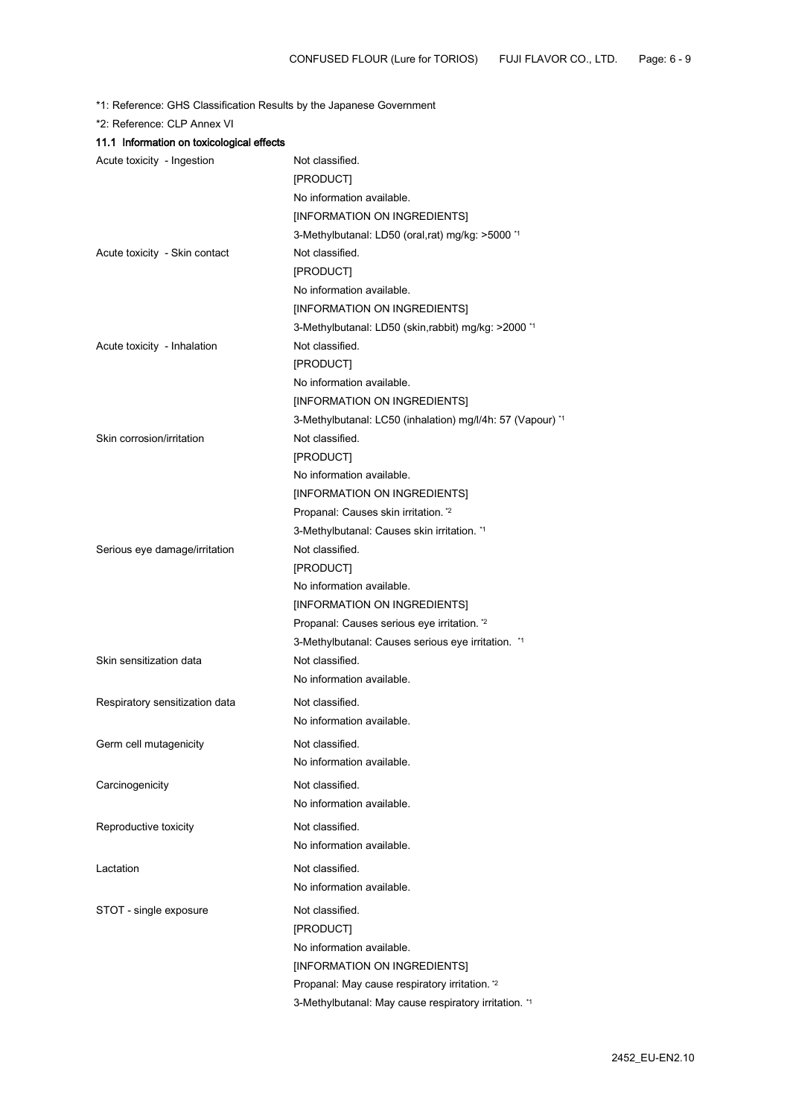\*1: Reference: GHS Classification Results by the Japanese Government

\*2: Reference: CLP Annex VI

| 11.1 Information on toxicological effects |                                                            |
|-------------------------------------------|------------------------------------------------------------|
| Acute toxicity - Ingestion                | Not classified.                                            |
|                                           | [PRODUCT]                                                  |
|                                           | No information available.                                  |
|                                           | [INFORMATION ON INGREDIENTS]                               |
|                                           | 3-Methylbutanal: LD50 (oral,rat) mg/kg: >5000 *1           |
| Acute toxicity - Skin contact             | Not classified.                                            |
|                                           | [PRODUCT]                                                  |
|                                           | No information available.                                  |
|                                           | [INFORMATION ON INGREDIENTS]                               |
|                                           | 3-Methylbutanal: LD50 (skin, rabbit) mg/kg: >2000 *1       |
| Acute toxicity - Inhalation               | Not classified.                                            |
|                                           | [PRODUCT]                                                  |
|                                           | No information available.                                  |
|                                           | [INFORMATION ON INGREDIENTS]                               |
|                                           | 3-Methylbutanal: LC50 (inhalation) mg/l/4h: 57 (Vapour) *1 |
| Skin corrosion/irritation                 | Not classified.                                            |
|                                           | [PRODUCT]                                                  |
|                                           | No information available.                                  |
|                                           | [INFORMATION ON INGREDIENTS]                               |
|                                           | Propanal: Causes skin irritation. *2                       |
|                                           | 3-Methylbutanal: Causes skin irritation. *1                |
| Serious eye damage/irritation             | Not classified.                                            |
|                                           | [PRODUCT]                                                  |
|                                           | No information available.                                  |
|                                           | [INFORMATION ON INGREDIENTS]                               |
|                                           | Propanal: Causes serious eye irritation. *2                |
|                                           | 3-Methylbutanal: Causes serious eye irritation. *1         |
| Skin sensitization data                   | Not classified.                                            |
|                                           | No information available.                                  |
| Respiratory sensitization data            | Not classified.                                            |
|                                           | No information available.                                  |
| Germ cell mutagenicity                    | Not classified.                                            |
|                                           | No information available.                                  |
|                                           | Not classified.                                            |
| Carcinogenicity                           |                                                            |
|                                           | No information available.                                  |
| Reproductive toxicity                     | Not classified.                                            |
|                                           | No information available.                                  |
| Lactation                                 | Not classified.                                            |
|                                           | No information available.                                  |
| STOT - single exposure                    | Not classified.                                            |
|                                           | [PRODUCT]                                                  |
|                                           | No information available.                                  |
|                                           | [INFORMATION ON INGREDIENTS]                               |
|                                           | Propanal: May cause respiratory irritation. *2             |
|                                           | 3-Methylbutanal: May cause respiratory irritation. *1      |
|                                           |                                                            |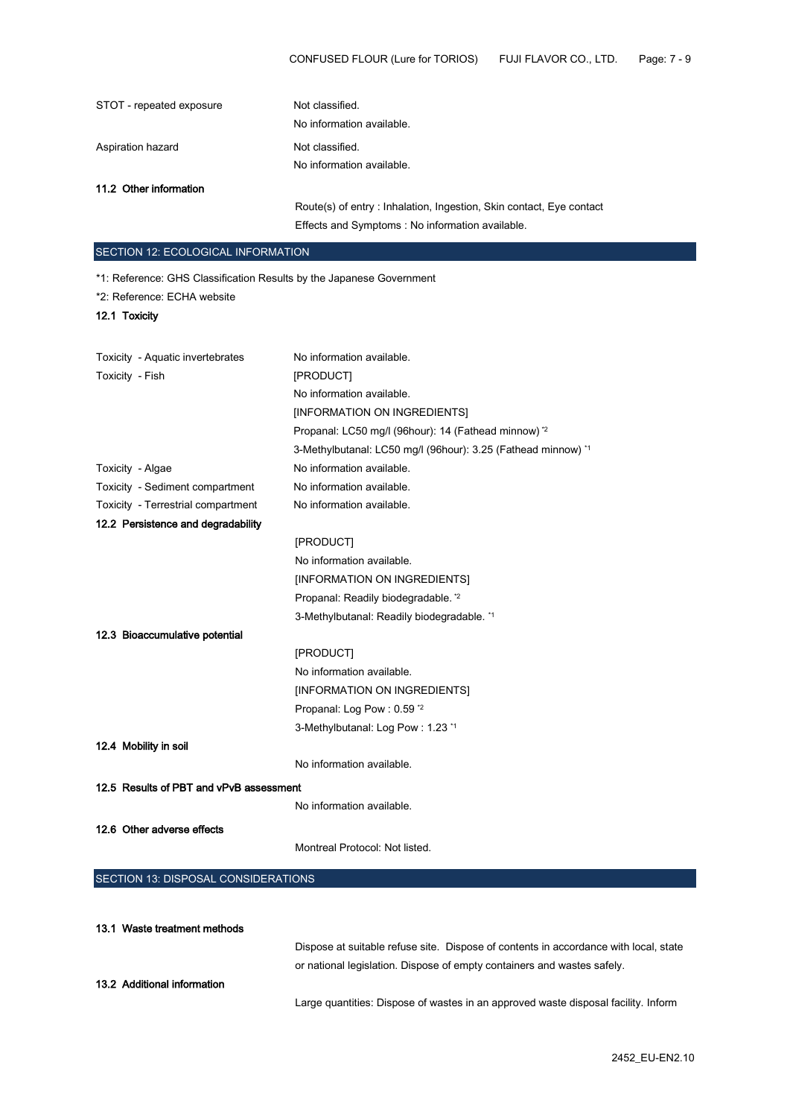| STOT - repeated exposure                                             | Not classified.<br>No information available.                         |
|----------------------------------------------------------------------|----------------------------------------------------------------------|
| Aspiration hazard                                                    | Not classified.                                                      |
|                                                                      | No information available.                                            |
| 11.2 Other information                                               |                                                                      |
|                                                                      | Route(s) of entry : Inhalation, Ingestion, Skin contact, Eye contact |
|                                                                      | Effects and Symptoms : No information available.                     |
|                                                                      |                                                                      |
| SECTION 12: ECOLOGICAL INFORMATION                                   |                                                                      |
| *1: Reference: GHS Classification Results by the Japanese Government |                                                                      |
| *2: Reference: ECHA website                                          |                                                                      |
| 12.1 Toxicity                                                        |                                                                      |
|                                                                      |                                                                      |
| Toxicity - Aquatic invertebrates                                     | No information available.                                            |
| Toxicity - Fish                                                      | [PRODUCT]                                                            |
|                                                                      | No information available.                                            |
|                                                                      | [INFORMATION ON INGREDIENTS]                                         |
|                                                                      | Propanal: LC50 mg/l (96hour): 14 (Fathead minnow) *2                 |
|                                                                      | 3-Methylbutanal: LC50 mg/l (96hour): 3.25 (Fathead minnow) *1        |
| Toxicity - Algae                                                     | No information available.                                            |
| Toxicity - Sediment compartment                                      | No information available.                                            |
| Toxicity - Terrestrial compartment                                   | No information available.                                            |
| 12.2 Persistence and degradability                                   |                                                                      |
|                                                                      | [PRODUCT]                                                            |
|                                                                      | No information available.                                            |
|                                                                      | [INFORMATION ON INGREDIENTS]                                         |
|                                                                      | Propanal: Readily biodegradable. *2                                  |
|                                                                      | 3-Methylbutanal: Readily biodegradable. *1                           |
| 12.3 Bioaccumulative potential                                       |                                                                      |
|                                                                      | [PRODUCT]                                                            |
|                                                                      | No information available.                                            |
|                                                                      | [INFORMATION ON INGREDIENTS]                                         |
|                                                                      | Propanal: Log Pow: 0.59 *2                                           |
|                                                                      | 3-Methylbutanal: Log Pow: 1.23 *1                                    |
| 12.4 Mobility in soil                                                |                                                                      |
|                                                                      | No information available.                                            |
| 12.5 Results of PBT and vPvB assessment                              |                                                                      |
|                                                                      | No information available.                                            |
| 12.6 Other adverse effects                                           |                                                                      |
|                                                                      | Montreal Protocol: Not listed.                                       |
|                                                                      |                                                                      |
| SECTION 13: DISPOSAL CONSIDERATIONS                                  |                                                                      |

| 13.1 Waste treatment methods |                                                                                      |
|------------------------------|--------------------------------------------------------------------------------------|
|                              | Dispose at suitable refuse site. Dispose of contents in accordance with local, state |
|                              | or national legislation. Dispose of empty containers and wastes safely.              |
| 13.2 Additional information  |                                                                                      |
|                              | Large quantities: Dispose of wastes in an approved waste disposal facility. Inform   |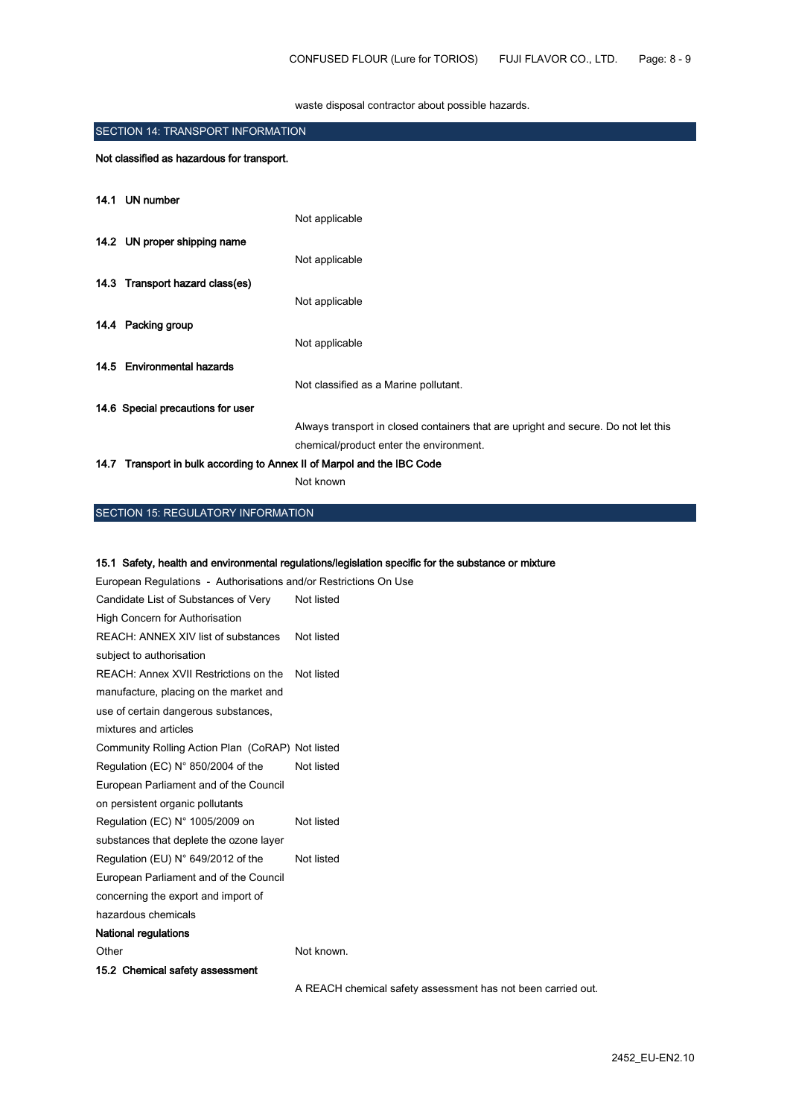waste disposal contractor about possible hazards.

| <b>SECTION 14: TRANSPORT INFORMATION</b> |                                                                         |                                                                                    |
|------------------------------------------|-------------------------------------------------------------------------|------------------------------------------------------------------------------------|
|                                          | Not classified as hazardous for transport.                              |                                                                                    |
|                                          | 14.1 UN number                                                          |                                                                                    |
|                                          |                                                                         | Not applicable                                                                     |
|                                          | 14.2 UN proper shipping name                                            |                                                                                    |
|                                          |                                                                         | Not applicable                                                                     |
|                                          | 14.3 Transport hazard class(es)                                         |                                                                                    |
|                                          |                                                                         | Not applicable                                                                     |
|                                          | 14.4 Packing group                                                      |                                                                                    |
|                                          |                                                                         | Not applicable                                                                     |
|                                          | 14.5 Environmental hazards                                              |                                                                                    |
|                                          |                                                                         | Not classified as a Marine pollutant.                                              |
|                                          | 14.6 Special precautions for user                                       |                                                                                    |
|                                          |                                                                         | Always transport in closed containers that are upright and secure. Do not let this |
|                                          |                                                                         | chemical/product enter the environment.                                            |
|                                          | 14.7 Transport in bulk according to Annex II of Marpol and the IBC Code |                                                                                    |

Not known

# SECTION 15: REGULATORY INFORMATION

#### 15.1 Safety, health and environmental regulations/legislation specific for the substance or mixture

| European Regulations - Authorisations and/or Restrictions On Use |            |  |  |  |
|------------------------------------------------------------------|------------|--|--|--|
| Candidate List of Substances of Very                             | Not listed |  |  |  |
| High Concern for Authorisation                                   |            |  |  |  |
| REACH: ANNEX XIV list of substances                              | Not listed |  |  |  |
| subject to authorisation                                         |            |  |  |  |
| REACH: Annex XVII Restrictions on the                            | Not listed |  |  |  |
| manufacture, placing on the market and                           |            |  |  |  |
| use of certain dangerous substances,                             |            |  |  |  |
| mixtures and articles                                            |            |  |  |  |
| Community Rolling Action Plan (CoRAP) Not listed                 |            |  |  |  |
| Regulation (EC) $N^{\circ}$ 850/2004 of the                      | Not listed |  |  |  |
| European Parliament and of the Council                           |            |  |  |  |
| on persistent organic pollutants                                 |            |  |  |  |
| Regulation (EC) N° 1005/2009 on                                  | Not listed |  |  |  |
| substances that deplete the ozone layer                          |            |  |  |  |
| Regulation (EU) N° 649/2012 of the                               | Not listed |  |  |  |
| European Parliament and of the Council                           |            |  |  |  |
| concerning the export and import of                              |            |  |  |  |
| hazardous chemicals                                              |            |  |  |  |
| <b>National regulations</b>                                      |            |  |  |  |
| Other                                                            | Not known. |  |  |  |
| 15.2 Chemical safety assessment                                  |            |  |  |  |

A REACH chemical safety assessment has not been carried out.